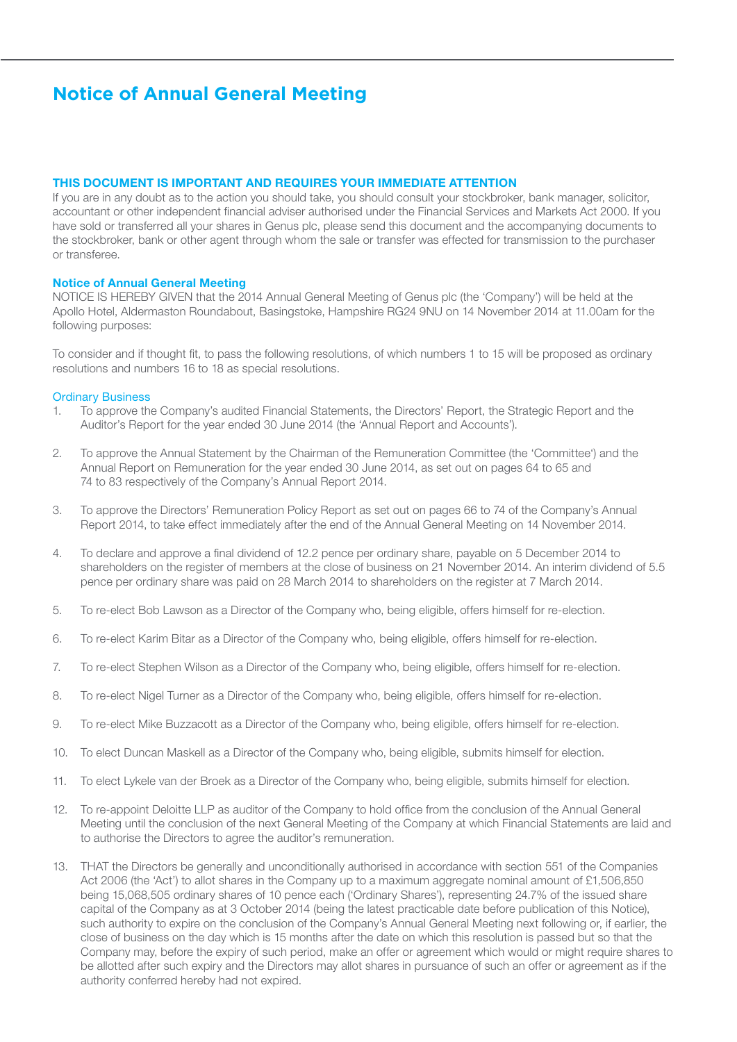# **Notice of Annual General Meeting**

## THIS DOCUMENT IS IMPORTANT AND REQUIRES YOUR IMMEDIATE ATTENTION

If you are in any doubt as to the action you should take, you should consult your stockbroker, bank manager, solicitor, accountant or other independent financial adviser authorised under the Financial Services and Markets Act 2000. If you have sold or transferred all your shares in Genus plc, please send this document and the accompanying documents to the stockbroker, bank or other agent through whom the sale or transfer was effected for transmission to the purchaser or transferee.

#### Notice of Annual General Meeting

NOTICE IS HEREBY GIVEN that the 2014 Annual General Meeting of Genus plc (the 'Company') will be held at the Apollo Hotel, Aldermaston Roundabout, Basingstoke, Hampshire RG24 9NU on 14 November 2014 at 11.00am for the following purposes:

To consider and if thought fit, to pass the following resolutions, of which numbers 1 to 15 will be proposed as ordinary resolutions and numbers 16 to 18 as special resolutions.

#### Ordinary Business

- 1. To approve the Company's audited Financial Statements, the Directors' Report, the Strategic Report and the Auditor's Report for the year ended 30 June 2014 (the 'Annual Report and Accounts').
- 2. To approve the Annual Statement by the Chairman of the Remuneration Committee (the 'Committee') and the Annual Report on Remuneration for the year ended 30 June 2014, as set out on pages 64 to 65 and 74 to 83 respectively of the Company's Annual Report 2014.
- 3. To approve the Directors' Remuneration Policy Report as set out on pages 66 to 74 of the Company's Annual Report 2014, to take effect immediately after the end of the Annual General Meeting on 14 November 2014.
- 4. To declare and approve a final dividend of 12.2 pence per ordinary share, payable on 5 December 2014 to shareholders on the register of members at the close of business on 21 November 2014. An interim dividend of 5.5 pence per ordinary share was paid on 28 March 2014 to shareholders on the register at 7 March 2014.
- 5. To re-elect Bob Lawson as a Director of the Company who, being eligible, offers himself for re-election.
- 6. To re-elect Karim Bitar as a Director of the Company who, being eligible, offers himself for re-election.
- 7. To re-elect Stephen Wilson as a Director of the Company who, being eligible, offers himself for re-election.
- 8. To re-elect Nigel Turner as a Director of the Company who, being eligible, offers himself for re-election.
- 9. To re-elect Mike Buzzacott as a Director of the Company who, being eligible, offers himself for re-election.
- 10. To elect Duncan Maskell as a Director of the Company who, being eligible, submits himself for election.
- 11. To elect Lykele van der Broek as a Director of the Company who, being eligible, submits himself for election.
- 12. To re-appoint Deloitte LLP as auditor of the Company to hold office from the conclusion of the Annual General Meeting until the conclusion of the next General Meeting of the Company at which Financial Statements are laid and to authorise the Directors to agree the auditor's remuneration.
- 13. THAT the Directors be generally and unconditionally authorised in accordance with section 551 of the Companies Act 2006 (the 'Act') to allot shares in the Company up to a maximum aggregate nominal amount of £1,506,850 being 15,068,505 ordinary shares of 10 pence each ('Ordinary Shares'), representing 24.7% of the issued share capital of the Company as at 3 October 2014 (being the latest practicable date before publication of this Notice), such authority to expire on the conclusion of the Company's Annual General Meeting next following or, if earlier, the close of business on the day which is 15 months after the date on which this resolution is passed but so that the Company may, before the expiry of such period, make an offer or agreement which would or might require shares to be allotted after such expiry and the Directors may allot shares in pursuance of such an offer or agreement as if the authority conferred hereby had not expired.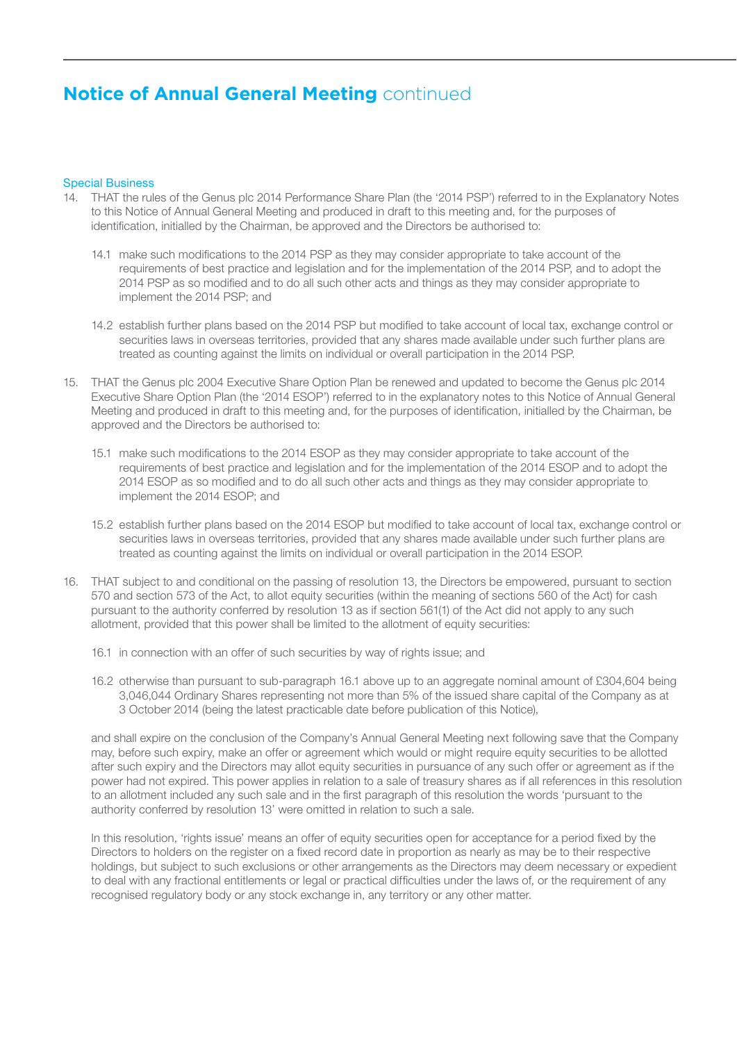### Special Business

- 14. THAT the rules of the Genus plc 2014 Performance Share Plan (the '2014 PSP') referred to in the Explanatory Notes to this Notice of Annual General Meeting and produced in draft to this meeting and, for the purposes of identification, initialled by the Chairman, be approved and the Directors be authorised to:
	- 14.1 make such modifications to the 2014 PSP as they may consider appropriate to take account of the requirements of best practice and legislation and for the implementation of the 2014 PSP, and to adopt the 2014 PSP as so modified and to do all such other acts and things as they may consider appropriate to implement the 2014 PSP; and
	- 14.2 establish further plans based on the 2014 PSP but modified to take account of local tax, exchange control or securities laws in overseas territories, provided that any shares made available under such further plans are treated as counting against the limits on individual or overall participation in the 2014 PSP.
- 15. THAT the Genus plc 2004 Executive Share Option Plan be renewed and updated to become the Genus plc 2014 Executive Share Option Plan (the '2014 ESOP') referred to in the explanatory notes to this Notice of Annual General Meeting and produced in draft to this meeting and, for the purposes of identification, initialled by the Chairman, be approved and the Directors be authorised to:
	- 15.1 make such modifications to the 2014 ESOP as they may consider appropriate to take account of the requirements of best practice and legislation and for the implementation of the 2014 ESOP and to adopt the 2014 ESOP as so modified and to do all such other acts and things as they may consider appropriate to implement the 2014 ESOP; and
	- 15.2 establish further plans based on the 2014 ESOP but modified to take account of local tax, exchange control or securities laws in overseas territories, provided that any shares made available under such further plans are treated as counting against the limits on individual or overall participation in the 2014 ESOP.
- 16. THAT subject to and conditional on the passing of resolution 13, the Directors be empowered, pursuant to section 570 and section 573 of the Act, to allot equity securities (within the meaning of sections 560 of the Act) for cash pursuant to the authority conferred by resolution 13 as if section 561(1) of the Act did not apply to any such allotment, provided that this power shall be limited to the allotment of equity securities:
	- 16.1 in connection with an offer of such securities by way of rights issue; and
	- 16.2 otherwise than pursuant to sub-paragraph 16.1 above up to an aggregate nominal amount of £304,604 being 3,046,044 Ordinary Shares representing not more than 5% of the issued share capital of the Company as at 3 October 2014 (being the latest practicable date before publication of this Notice),

and shall expire on the conclusion of the Company's Annual General Meeting next following save that the Company may, before such expiry, make an offer or agreement which would or might require equity securities to be allotted after such expiry and the Directors may allot equity securities in pursuance of any such offer or agreement as if the power had not expired. This power applies in relation to a sale of treasury shares as if all references in this resolution to an allotment included any such sale and in the first paragraph of this resolution the words 'pursuant to the authority conferred by resolution 13' were omitted in relation to such a sale.

In this resolution, 'rights issue' means an offer of equity securities open for acceptance for a period fixed by the Directors to holders on the register on a fixed record date in proportion as nearly as may be to their respective holdings, but subject to such exclusions or other arrangements as the Directors may deem necessary or expedient to deal with any fractional entitlements or legal or practical difficulties under the laws of, or the requirement of any recognised regulatory body or any stock exchange in, any territory or any other matter.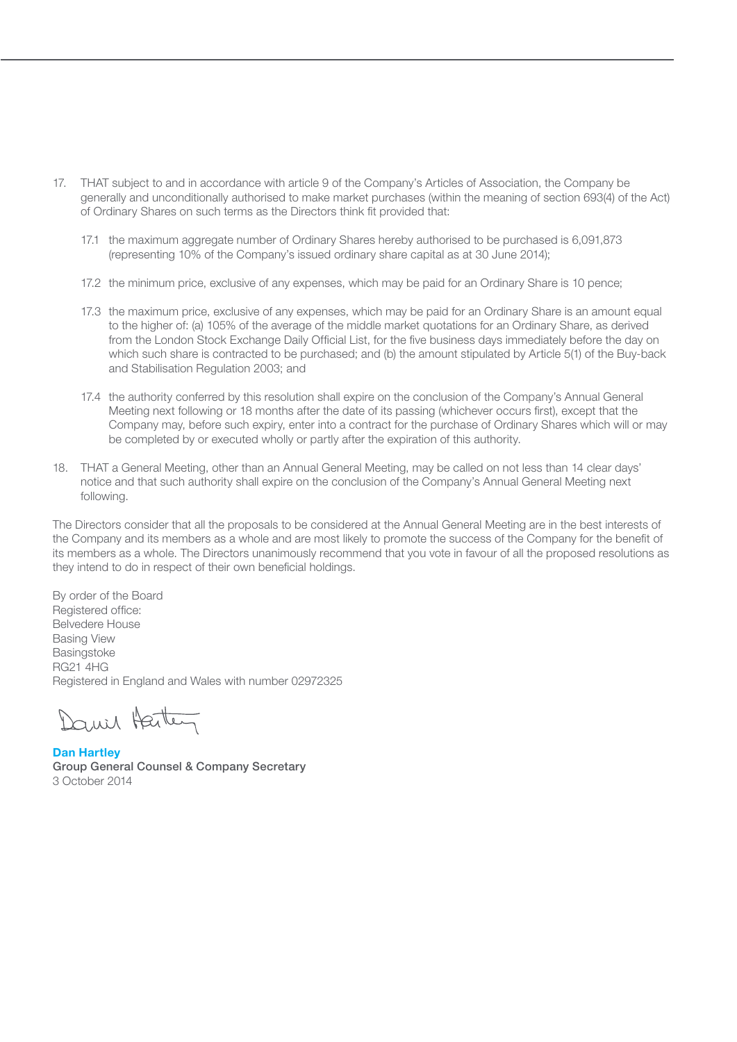- 17. THAT subject to and in accordance with article 9 of the Company's Articles of Association, the Company be generally and unconditionally authorised to make market purchases (within the meaning of section 693(4) of the Act) of Ordinary Shares on such terms as the Directors think fit provided that:
	- 17.1 the maximum aggregate number of Ordinary Shares hereby authorised to be purchased is 6,091,873 (representing 10% of the Company's issued ordinary share capital as at 30 June 2014);
	- 17.2 the minimum price, exclusive of any expenses, which may be paid for an Ordinary Share is 10 pence;
	- 17.3 the maximum price, exclusive of any expenses, which may be paid for an Ordinary Share is an amount equal to the higher of: (a) 105% of the average of the middle market quotations for an Ordinary Share, as derived from the London Stock Exchange Daily Official List, for the five business days immediately before the day on which such share is contracted to be purchased; and (b) the amount stipulated by Article 5(1) of the Buy-back and Stabilisation Regulation 2003; and
	- 17.4 the authority conferred by this resolution shall expire on the conclusion of the Company's Annual General Meeting next following or 18 months after the date of its passing (whichever occurs first), except that the Company may, before such expiry, enter into a contract for the purchase of Ordinary Shares which will or may be completed by or executed wholly or partly after the expiration of this authority.
- 18. THAT a General Meeting, other than an Annual General Meeting, may be called on not less than 14 clear days' notice and that such authority shall expire on the conclusion of the Company's Annual General Meeting next following.

The Directors consider that all the proposals to be considered at the Annual General Meeting are in the best interests of the Company and its members as a whole and are most likely to promote the success of the Company for the benefit of its members as a whole. The Directors unanimously recommend that you vote in favour of all the proposed resolutions as they intend to do in respect of their own beneficial holdings.

By order of the Board Registered office: Belvedere House Basing View Basingstoke RG21 4HG Registered in England and Wales with number 02972325

amil Hartey

Dan Hartley Group General Counsel & Company Secretary 3 October 2014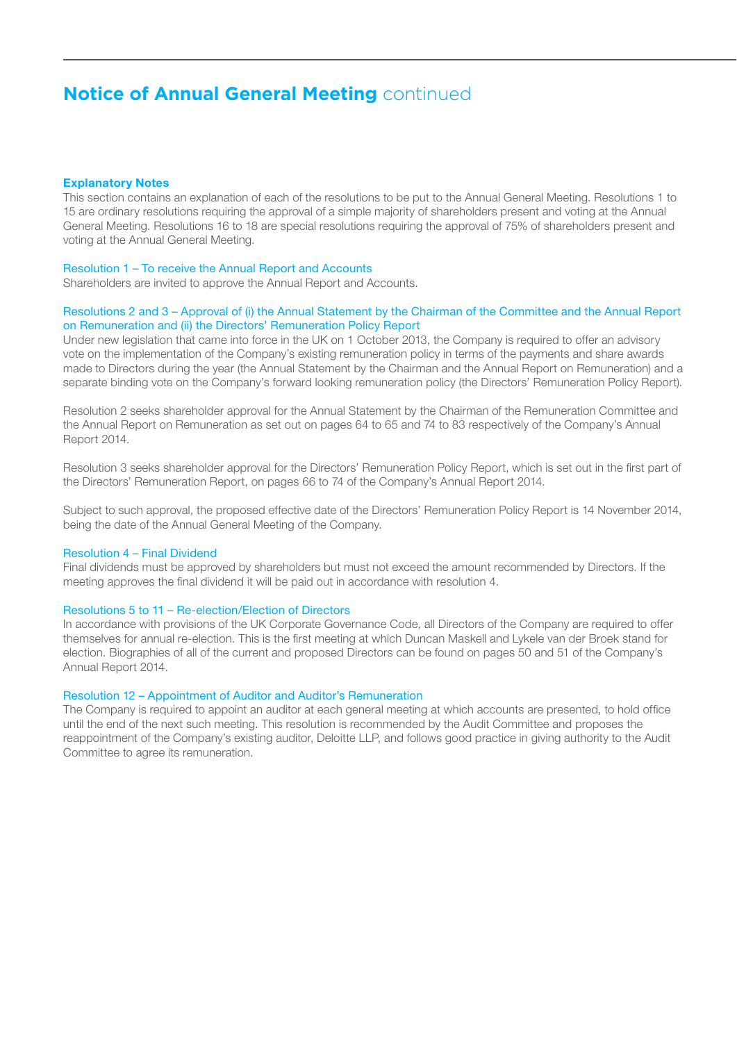#### Explanatory Notes

This section contains an explanation of each of the resolutions to be put to the Annual General Meeting. Resolutions 1 to 15 are ordinary resolutions requiring the approval of a simple majority of shareholders present and voting at the Annual General Meeting. Resolutions 16 to 18 are special resolutions requiring the approval of 75% of shareholders present and voting at the Annual General Meeting.

#### Resolution 1 – To receive the Annual Report and Accounts

Shareholders are invited to approve the Annual Report and Accounts.

## Resolutions 2 and 3 – Approval of (i) the Annual Statement by the Chairman of the Committee and the Annual Report on Remuneration and (ii) the Directors' Remuneration Policy Report

Under new legislation that came into force in the UK on 1 October 2013, the Company is required to offer an advisory vote on the implementation of the Company's existing remuneration policy in terms of the payments and share awards made to Directors during the year (the Annual Statement by the Chairman and the Annual Report on Remuneration) and a separate binding vote on the Company's forward looking remuneration policy (the Directors' Remuneration Policy Report).

Resolution 2 seeks shareholder approval for the Annual Statement by the Chairman of the Remuneration Committee and the Annual Report on Remuneration as set out on pages 64 to 65 and 74 to 83 respectively of the Company's Annual Report 2014.

Resolution 3 seeks shareholder approval for the Directors' Remuneration Policy Report, which is set out in the first part of the Directors' Remuneration Report, on pages 66 to 74 of the Company's Annual Report 2014.

Subject to such approval, the proposed effective date of the Directors' Remuneration Policy Report is 14 November 2014, being the date of the Annual General Meeting of the Company.

#### Resolution 4 – Final Dividend

Final dividends must be approved by shareholders but must not exceed the amount recommended by Directors. If the meeting approves the final dividend it will be paid out in accordance with resolution 4.

#### Resolutions 5 to 11 – Re-election/Election of Directors

In accordance with provisions of the UK Corporate Governance Code, all Directors of the Company are required to offer themselves for annual re-election. This is the first meeting at which Duncan Maskell and Lykele van der Broek stand for election. Biographies of all of the current and proposed Directors can be found on pages 50 and 51 of the Company's Annual Report 2014.

#### Resolution 12 – Appointment of Auditor and Auditor's Remuneration

The Company is required to appoint an auditor at each general meeting at which accounts are presented, to hold office until the end of the next such meeting. This resolution is recommended by the Audit Committee and proposes the reappointment of the Company's existing auditor, Deloitte LLP, and follows good practice in giving authority to the Audit Committee to agree its remuneration.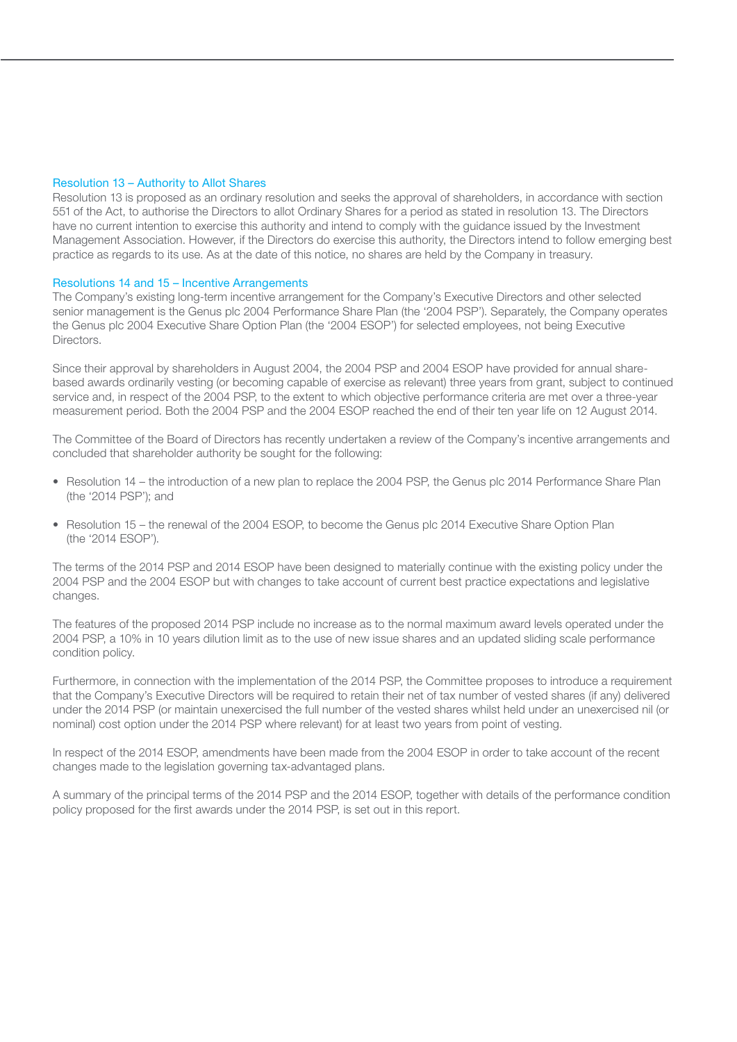#### Resolution 13 – Authority to Allot Shares

Resolution 13 is proposed as an ordinary resolution and seeks the approval of shareholders, in accordance with section 551 of the Act, to authorise the Directors to allot Ordinary Shares for a period as stated in resolution 13. The Directors have no current intention to exercise this authority and intend to comply with the guidance issued by the Investment Management Association. However, if the Directors do exercise this authority, the Directors intend to follow emerging best practice as regards to its use. As at the date of this notice, no shares are held by the Company in treasury.

#### Resolutions 14 and 15 – Incentive Arrangements

The Company's existing long-term incentive arrangement for the Company's Executive Directors and other selected senior management is the Genus plc 2004 Performance Share Plan (the '2004 PSP'). Separately, the Company operates the Genus plc 2004 Executive Share Option Plan (the '2004 ESOP') for selected employees, not being Executive Directors.

Since their approval by shareholders in August 2004, the 2004 PSP and 2004 ESOP have provided for annual sharebased awards ordinarily vesting (or becoming capable of exercise as relevant) three years from grant, subject to continued service and, in respect of the 2004 PSP, to the extent to which objective performance criteria are met over a three-year measurement period. Both the 2004 PSP and the 2004 ESOP reached the end of their ten year life on 12 August 2014.

The Committee of the Board of Directors has recently undertaken a review of the Company's incentive arrangements and concluded that shareholder authority be sought for the following:

- Resolution 14 the introduction of a new plan to replace the 2004 PSP, the Genus plc 2014 Performance Share Plan (the '2014 PSP'); and
- Resolution 15 the renewal of the 2004 ESOP, to become the Genus plc 2014 Executive Share Option Plan (the '2014 ESOP').

The terms of the 2014 PSP and 2014 ESOP have been designed to materially continue with the existing policy under the 2004 PSP and the 2004 ESOP but with changes to take account of current best practice expectations and legislative changes.

The features of the proposed 2014 PSP include no increase as to the normal maximum award levels operated under the 2004 PSP, a 10% in 10 years dilution limit as to the use of new issue shares and an updated sliding scale performance condition policy.

Furthermore, in connection with the implementation of the 2014 PSP, the Committee proposes to introduce a requirement that the Company's Executive Directors will be required to retain their net of tax number of vested shares (if any) delivered under the 2014 PSP (or maintain unexercised the full number of the vested shares whilst held under an unexercised nil (or nominal) cost option under the 2014 PSP where relevant) for at least two years from point of vesting.

In respect of the 2014 ESOP, amendments have been made from the 2004 ESOP in order to take account of the recent changes made to the legislation governing tax-advantaged plans.

A summary of the principal terms of the 2014 PSP and the 2014 ESOP, together with details of the performance condition policy proposed for the first awards under the 2014 PSP, is set out in this report.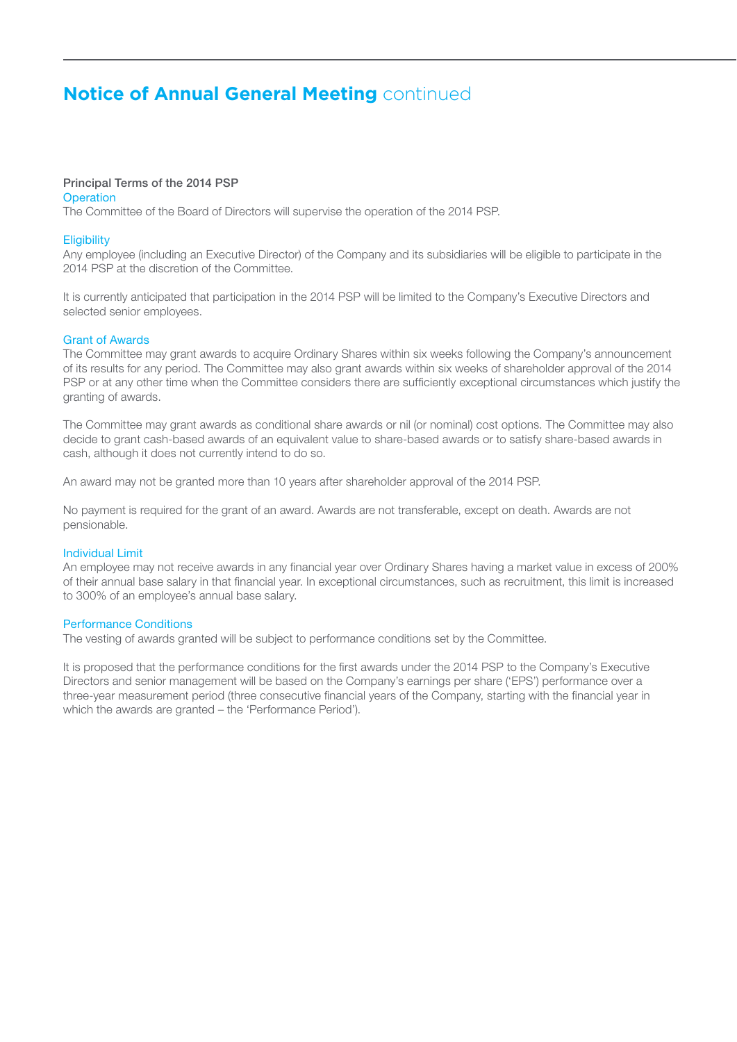#### Principal Terms of the 2014 PSP **Operation**

The Committee of the Board of Directors will supervise the operation of the 2014 PSP.

## **Eligibility**

Any employee (including an Executive Director) of the Company and its subsidiaries will be eligible to participate in the 2014 PSP at the discretion of the Committee.

It is currently anticipated that participation in the 2014 PSP will be limited to the Company's Executive Directors and selected senior employees.

## Grant of Awards

The Committee may grant awards to acquire Ordinary Shares within six weeks following the Company's announcement of its results for any period. The Committee may also grant awards within six weeks of shareholder approval of the 2014 PSP or at any other time when the Committee considers there are sufficiently exceptional circumstances which justify the granting of awards.

The Committee may grant awards as conditional share awards or nil (or nominal) cost options. The Committee may also decide to grant cash-based awards of an equivalent value to share-based awards or to satisfy share-based awards in cash, although it does not currently intend to do so.

An award may not be granted more than 10 years after shareholder approval of the 2014 PSP.

No payment is required for the grant of an award. Awards are not transferable, except on death. Awards are not pensionable.

## Individual Limit

An employee may not receive awards in any financial year over Ordinary Shares having a market value in excess of 200% of their annual base salary in that financial year. In exceptional circumstances, such as recruitment, this limit is increased to 300% of an employee's annual base salary.

## Performance Conditions

The vesting of awards granted will be subject to performance conditions set by the Committee.

It is proposed that the performance conditions for the first awards under the 2014 PSP to the Company's Executive Directors and senior management will be based on the Company's earnings per share ('EPS') performance over a three-year measurement period (three consecutive financial years of the Company, starting with the financial year in which the awards are granted – the 'Performance Period').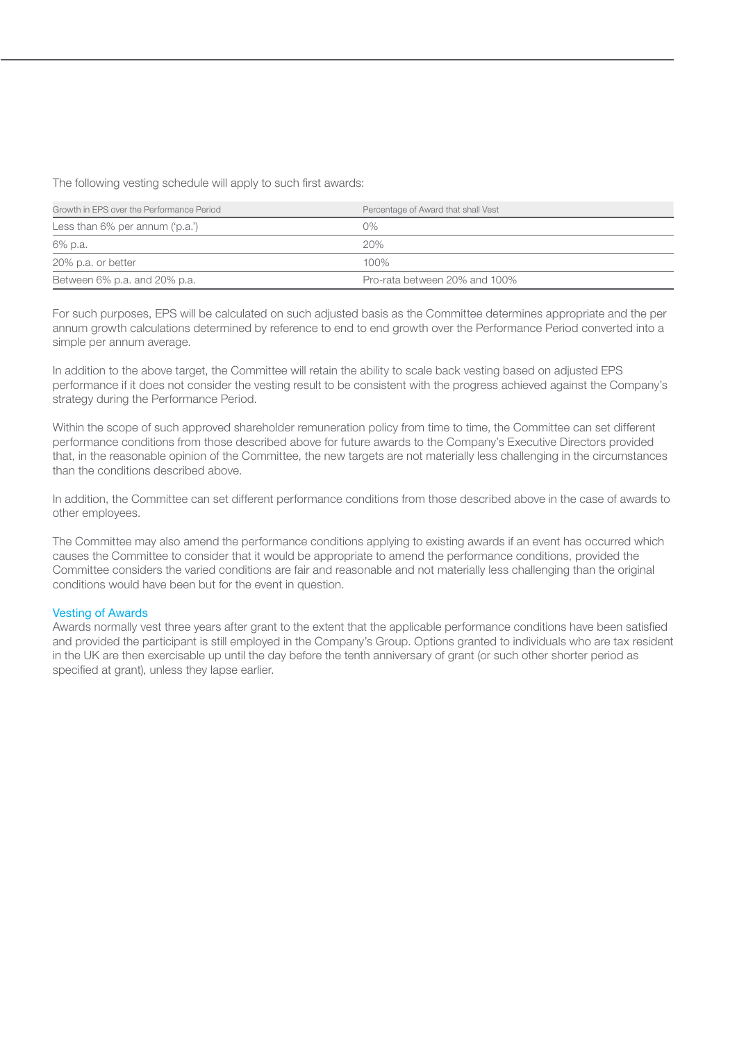The following vesting schedule will apply to such first awards:

| Growth in EPS over the Performance Period | Percentage of Award that shall Vest |
|-------------------------------------------|-------------------------------------|
| Less than 6% per annum ('p.a.')           | 0%                                  |
| 6% p.a.                                   | 20%                                 |
| 20% p.a. or better                        | $100\%$                             |
| Between 6% p.a. and 20% p.a.              | Pro-rata between 20% and 100%       |

For such purposes, EPS will be calculated on such adjusted basis as the Committee determines appropriate and the per annum growth calculations determined by reference to end to end growth over the Performance Period converted into a simple per annum average.

In addition to the above target, the Committee will retain the ability to scale back vesting based on adjusted EPS performance if it does not consider the vesting result to be consistent with the progress achieved against the Company's strategy during the Performance Period.

Within the scope of such approved shareholder remuneration policy from time to time, the Committee can set different performance conditions from those described above for future awards to the Company's Executive Directors provided that, in the reasonable opinion of the Committee, the new targets are not materially less challenging in the circumstances than the conditions described above.

In addition, the Committee can set different performance conditions from those described above in the case of awards to other employees.

The Committee may also amend the performance conditions applying to existing awards if an event has occurred which causes the Committee to consider that it would be appropriate to amend the performance conditions, provided the Committee considers the varied conditions are fair and reasonable and not materially less challenging than the original conditions would have been but for the event in question.

## Vesting of Awards

Awards normally vest three years after grant to the extent that the applicable performance conditions have been satisfied and provided the participant is still employed in the Company's Group. Options granted to individuals who are tax resident in the UK are then exercisable up until the day before the tenth anniversary of grant (or such other shorter period as specified at grant), unless they lapse earlier.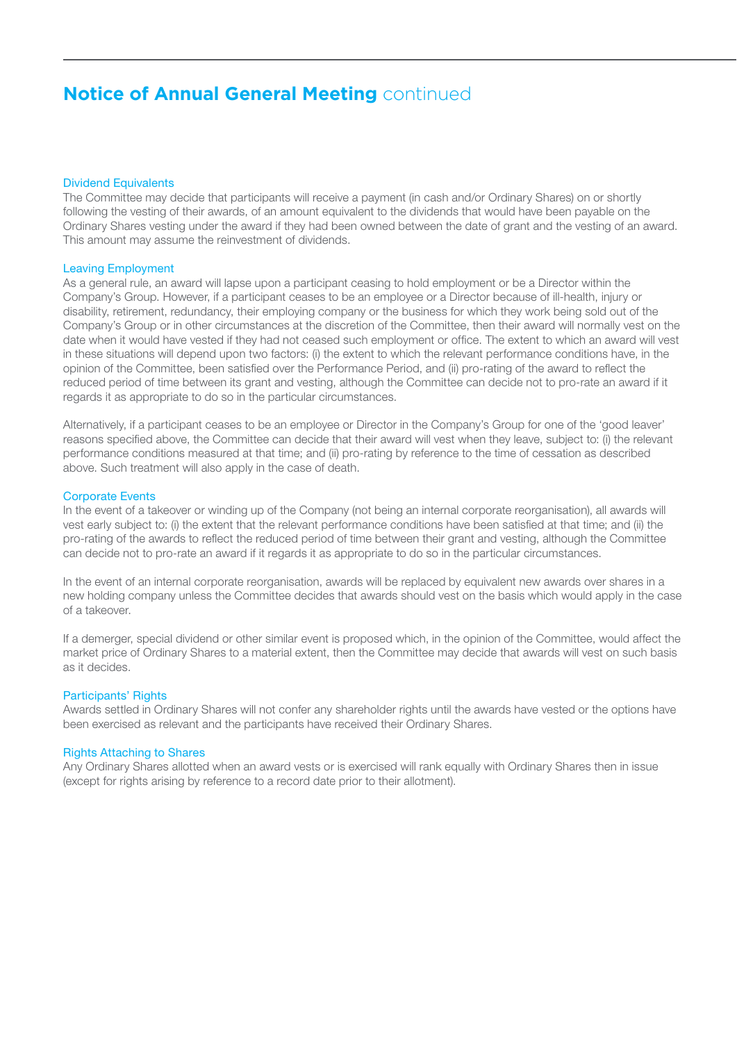#### Dividend Equivalents

The Committee may decide that participants will receive a payment (in cash and/or Ordinary Shares) on or shortly following the vesting of their awards, of an amount equivalent to the dividends that would have been payable on the Ordinary Shares vesting under the award if they had been owned between the date of grant and the vesting of an award. This amount may assume the reinvestment of dividends.

#### Leaving Employment

As a general rule, an award will lapse upon a participant ceasing to hold employment or be a Director within the Company's Group. However, if a participant ceases to be an employee or a Director because of ill-health, injury or disability, retirement, redundancy, their employing company or the business for which they work being sold out of the Company's Group or in other circumstances at the discretion of the Committee, then their award will normally vest on the date when it would have vested if they had not ceased such employment or office. The extent to which an award will vest in these situations will depend upon two factors: (i) the extent to which the relevant performance conditions have, in the opinion of the Committee, been satisfied over the Performance Period, and (ii) pro-rating of the award to reflect the reduced period of time between its grant and vesting, although the Committee can decide not to pro-rate an award if it regards it as appropriate to do so in the particular circumstances.

Alternatively, if a participant ceases to be an employee or Director in the Company's Group for one of the 'good leaver' reasons specified above, the Committee can decide that their award will vest when they leave, subject to: (i) the relevant performance conditions measured at that time; and (ii) pro-rating by reference to the time of cessation as described above. Such treatment will also apply in the case of death.

#### Corporate Events

In the event of a takeover or winding up of the Company (not being an internal corporate reorganisation), all awards will vest early subject to: (i) the extent that the relevant performance conditions have been satisfied at that time; and (ii) the pro-rating of the awards to reflect the reduced period of time between their grant and vesting, although the Committee can decide not to pro-rate an award if it regards it as appropriate to do so in the particular circumstances.

In the event of an internal corporate reorganisation, awards will be replaced by equivalent new awards over shares in a new holding company unless the Committee decides that awards should vest on the basis which would apply in the case of a takeover.

If a demerger, special dividend or other similar event is proposed which, in the opinion of the Committee, would affect the market price of Ordinary Shares to a material extent, then the Committee may decide that awards will vest on such basis as it decides.

#### Participants' Rights

Awards settled in Ordinary Shares will not confer any shareholder rights until the awards have vested or the options have been exercised as relevant and the participants have received their Ordinary Shares.

#### Rights Attaching to Shares

Any Ordinary Shares allotted when an award vests or is exercised will rank equally with Ordinary Shares then in issue (except for rights arising by reference to a record date prior to their allotment).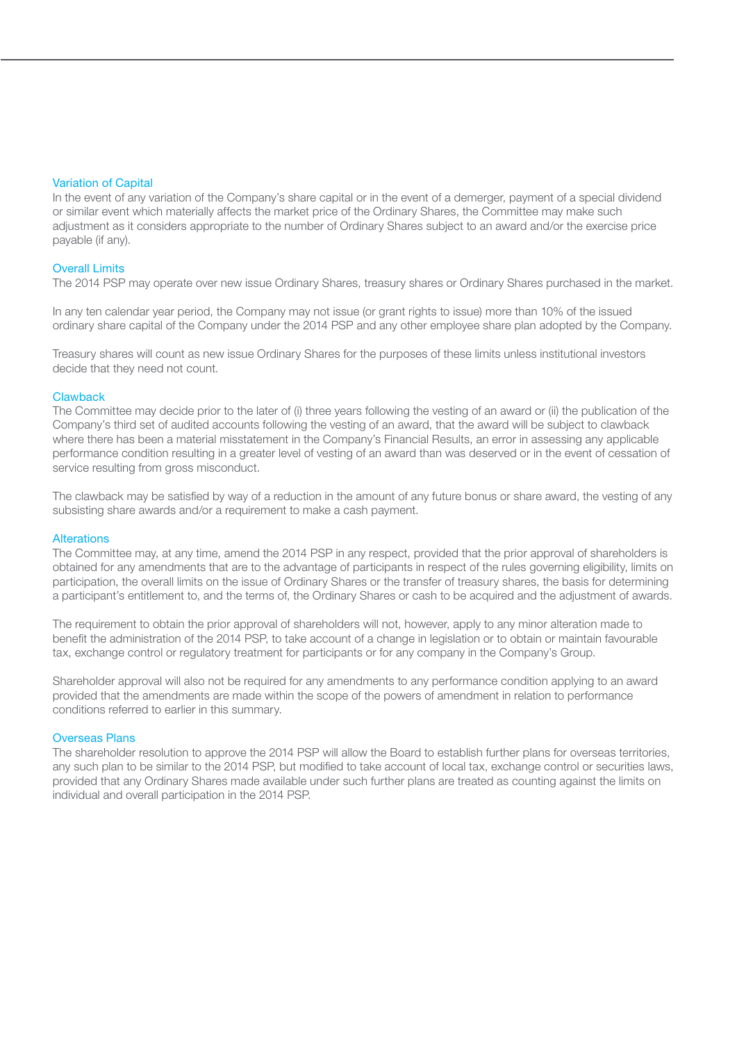#### Variation of Capital

In the event of any variation of the Company's share capital or in the event of a demerger, payment of a special dividend or similar event which materially affects the market price of the Ordinary Shares, the Committee may make such adjustment as it considers appropriate to the number of Ordinary Shares subject to an award and/or the exercise price payable (if any).

## Overall Limits

The 2014 PSP may operate over new issue Ordinary Shares, treasury shares or Ordinary Shares purchased in the market.

In any ten calendar year period, the Company may not issue (or grant rights to issue) more than 10% of the issued ordinary share capital of the Company under the 2014 PSP and any other employee share plan adopted by the Company.

Treasury shares will count as new issue Ordinary Shares for the purposes of these limits unless institutional investors decide that they need not count.

#### **Clawback**

The Committee may decide prior to the later of (i) three years following the vesting of an award or (ii) the publication of the Company's third set of audited accounts following the vesting of an award, that the award will be subject to clawback where there has been a material misstatement in the Company's Financial Results, an error in assessing any applicable performance condition resulting in a greater level of vesting of an award than was deserved or in the event of cessation of service resulting from gross misconduct.

The clawback may be satisfied by way of a reduction in the amount of any future bonus or share award, the vesting of any subsisting share awards and/or a requirement to make a cash payment.

#### Alterations

The Committee may, at any time, amend the 2014 PSP in any respect, provided that the prior approval of shareholders is obtained for any amendments that are to the advantage of participants in respect of the rules governing eligibility, limits on participation, the overall limits on the issue of Ordinary Shares or the transfer of treasury shares, the basis for determining a participant's entitlement to, and the terms of, the Ordinary Shares or cash to be acquired and the adjustment of awards.

The requirement to obtain the prior approval of shareholders will not, however, apply to any minor alteration made to benefit the administration of the 2014 PSP, to take account of a change in legislation or to obtain or maintain favourable tax, exchange control or regulatory treatment for participants or for any company in the Company's Group.

Shareholder approval will also not be required for any amendments to any performance condition applying to an award provided that the amendments are made within the scope of the powers of amendment in relation to performance conditions referred to earlier in this summary.

#### Overseas Plans

The shareholder resolution to approve the 2014 PSP will allow the Board to establish further plans for overseas territories, any such plan to be similar to the 2014 PSP, but modified to take account of local tax, exchange control or securities laws, provided that any Ordinary Shares made available under such further plans are treated as counting against the limits on individual and overall participation in the 2014 PSP.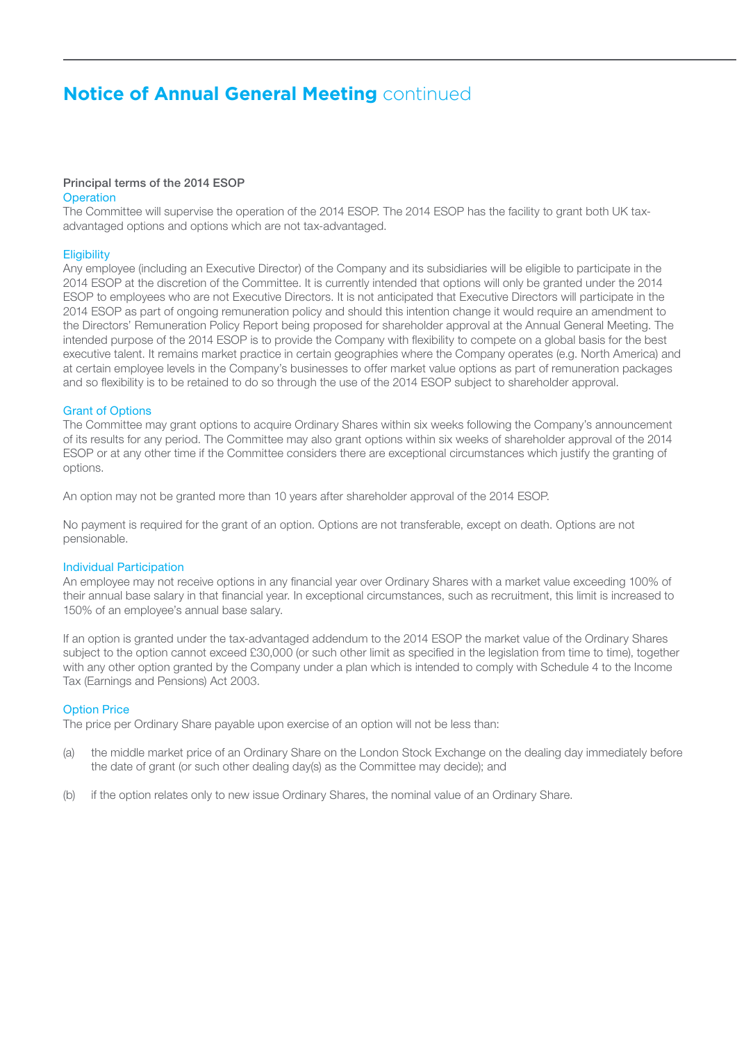## Principal terms of the 2014 ESOP

## **Operation**

The Committee will supervise the operation of the 2014 ESOP. The 2014 ESOP has the facility to grant both UK taxadvantaged options and options which are not tax-advantaged.

#### **Eligibility**

Any employee (including an Executive Director) of the Company and its subsidiaries will be eligible to participate in the 2014 ESOP at the discretion of the Committee. It is currently intended that options will only be granted under the 2014 ESOP to employees who are not Executive Directors. It is not anticipated that Executive Directors will participate in the 2014 ESOP as part of ongoing remuneration policy and should this intention change it would require an amendment to the Directors' Remuneration Policy Report being proposed for shareholder approval at the Annual General Meeting. The intended purpose of the 2014 ESOP is to provide the Company with flexibility to compete on a global basis for the best executive talent. It remains market practice in certain geographies where the Company operates (e.g. North America) and at certain employee levels in the Company's businesses to offer market value options as part of remuneration packages and so flexibility is to be retained to do so through the use of the 2014 ESOP subject to shareholder approval.

#### Grant of Options

The Committee may grant options to acquire Ordinary Shares within six weeks following the Company's announcement of its results for any period. The Committee may also grant options within six weeks of shareholder approval of the 2014 ESOP or at any other time if the Committee considers there are exceptional circumstances which justify the granting of options.

An option may not be granted more than 10 years after shareholder approval of the 2014 ESOP.

No payment is required for the grant of an option. Options are not transferable, except on death. Options are not pensionable.

#### Individual Participation

An employee may not receive options in any financial year over Ordinary Shares with a market value exceeding 100% of their annual base salary in that financial year. In exceptional circumstances, such as recruitment, this limit is increased to 150% of an employee's annual base salary.

If an option is granted under the tax-advantaged addendum to the 2014 ESOP the market value of the Ordinary Shares subject to the option cannot exceed £30,000 (or such other limit as specified in the legislation from time to time), together with any other option granted by the Company under a plan which is intended to comply with Schedule 4 to the Income Tax (Earnings and Pensions) Act 2003.

## Option Price

The price per Ordinary Share payable upon exercise of an option will not be less than:

- (a) the middle market price of an Ordinary Share on the London Stock Exchange on the dealing day immediately before the date of grant (or such other dealing day(s) as the Committee may decide); and
- (b) if the option relates only to new issue Ordinary Shares, the nominal value of an Ordinary Share.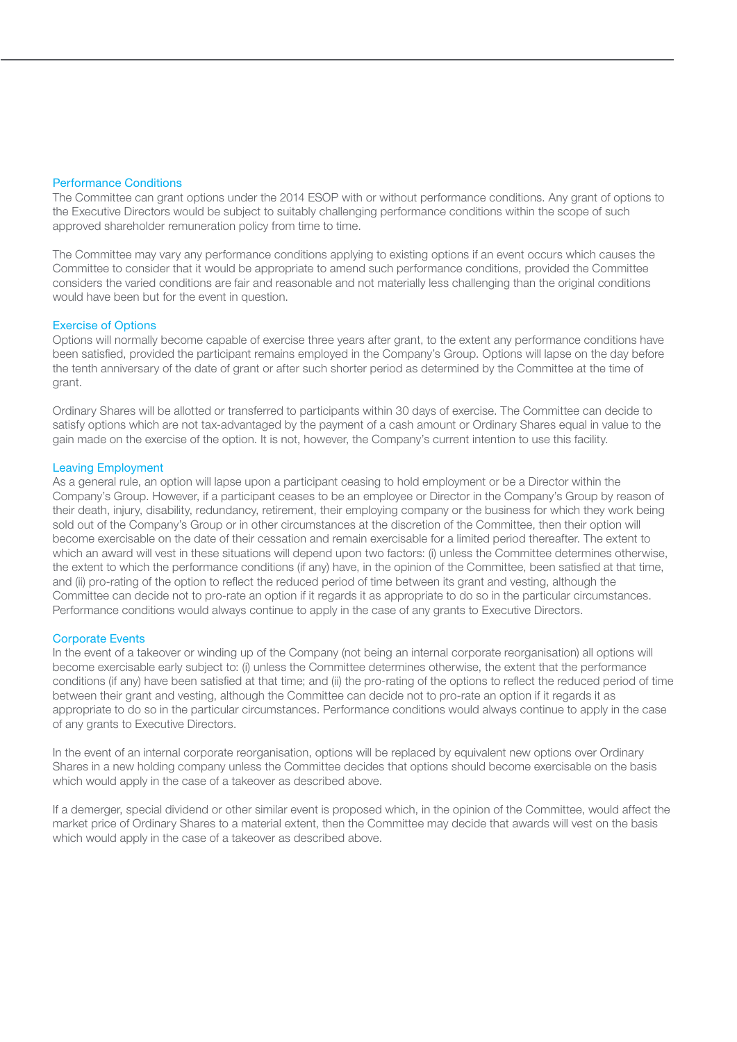#### Performance Conditions

The Committee can grant options under the 2014 ESOP with or without performance conditions. Any grant of options to the Executive Directors would be subject to suitably challenging performance conditions within the scope of such approved shareholder remuneration policy from time to time.

The Committee may vary any performance conditions applying to existing options if an event occurs which causes the Committee to consider that it would be appropriate to amend such performance conditions, provided the Committee considers the varied conditions are fair and reasonable and not materially less challenging than the original conditions would have been but for the event in question.

#### Exercise of Options

Options will normally become capable of exercise three years after grant, to the extent any performance conditions have been satisfied, provided the participant remains employed in the Company's Group. Options will lapse on the day before the tenth anniversary of the date of grant or after such shorter period as determined by the Committee at the time of grant.

Ordinary Shares will be allotted or transferred to participants within 30 days of exercise. The Committee can decide to satisfy options which are not tax-advantaged by the payment of a cash amount or Ordinary Shares equal in value to the gain made on the exercise of the option. It is not, however, the Company's current intention to use this facility.

## Leaving Employment

As a general rule, an option will lapse upon a participant ceasing to hold employment or be a Director within the Company's Group. However, if a participant ceases to be an employee or Director in the Company's Group by reason of their death, injury, disability, redundancy, retirement, their employing company or the business for which they work being sold out of the Company's Group or in other circumstances at the discretion of the Committee, then their option will become exercisable on the date of their cessation and remain exercisable for a limited period thereafter. The extent to which an award will vest in these situations will depend upon two factors: (i) unless the Committee determines otherwise, the extent to which the performance conditions (if any) have, in the opinion of the Committee, been satisfied at that time, and (ii) pro-rating of the option to reflect the reduced period of time between its grant and vesting, although the Committee can decide not to pro-rate an option if it regards it as appropriate to do so in the particular circumstances. Performance conditions would always continue to apply in the case of any grants to Executive Directors.

## Corporate Events

In the event of a takeover or winding up of the Company (not being an internal corporate reorganisation) all options will become exercisable early subject to: (i) unless the Committee determines otherwise, the extent that the performance conditions (if any) have been satisfied at that time; and (ii) the pro-rating of the options to reflect the reduced period of time between their grant and vesting, although the Committee can decide not to pro-rate an option if it regards it as appropriate to do so in the particular circumstances. Performance conditions would always continue to apply in the case of any grants to Executive Directors.

In the event of an internal corporate reorganisation, options will be replaced by equivalent new options over Ordinary Shares in a new holding company unless the Committee decides that options should become exercisable on the basis which would apply in the case of a takeover as described above.

If a demerger, special dividend or other similar event is proposed which, in the opinion of the Committee, would affect the market price of Ordinary Shares to a material extent, then the Committee may decide that awards will vest on the basis which would apply in the case of a takeover as described above.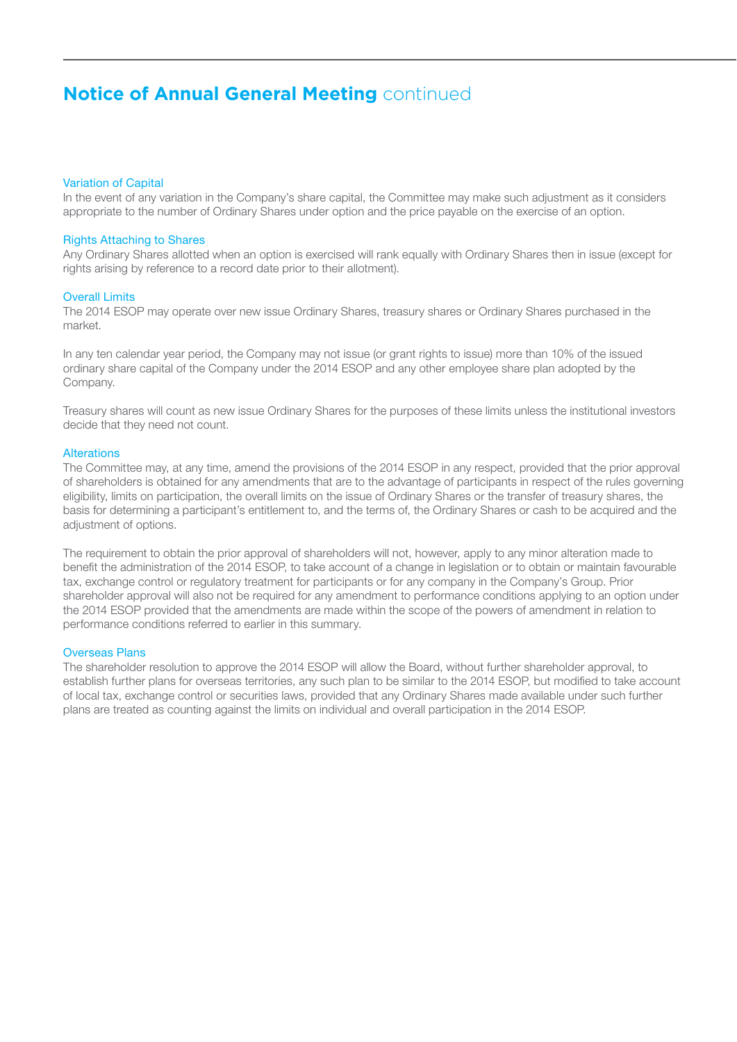#### Variation of Capital

In the event of any variation in the Company's share capital, the Committee may make such adjustment as it considers appropriate to the number of Ordinary Shares under option and the price payable on the exercise of an option.

#### Rights Attaching to Shares

Any Ordinary Shares allotted when an option is exercised will rank equally with Ordinary Shares then in issue (except for rights arising by reference to a record date prior to their allotment).

#### Overall Limits

The 2014 ESOP may operate over new issue Ordinary Shares, treasury shares or Ordinary Shares purchased in the market.

In any ten calendar year period, the Company may not issue (or grant rights to issue) more than 10% of the issued ordinary share capital of the Company under the 2014 ESOP and any other employee share plan adopted by the Company.

Treasury shares will count as new issue Ordinary Shares for the purposes of these limits unless the institutional investors decide that they need not count.

#### Alterations

The Committee may, at any time, amend the provisions of the 2014 ESOP in any respect, provided that the prior approval of shareholders is obtained for any amendments that are to the advantage of participants in respect of the rules governing eligibility, limits on participation, the overall limits on the issue of Ordinary Shares or the transfer of treasury shares, the basis for determining a participant's entitlement to, and the terms of, the Ordinary Shares or cash to be acquired and the adjustment of options.

The requirement to obtain the prior approval of shareholders will not, however, apply to any minor alteration made to benefit the administration of the 2014 ESOP, to take account of a change in legislation or to obtain or maintain favourable tax, exchange control or regulatory treatment for participants or for any company in the Company's Group. Prior shareholder approval will also not be required for any amendment to performance conditions applying to an option under the 2014 ESOP provided that the amendments are made within the scope of the powers of amendment in relation to performance conditions referred to earlier in this summary.

#### Overseas Plans

The shareholder resolution to approve the 2014 ESOP will allow the Board, without further shareholder approval, to establish further plans for overseas territories, any such plan to be similar to the 2014 ESOP, but modified to take account of local tax, exchange control or securities laws, provided that any Ordinary Shares made available under such further plans are treated as counting against the limits on individual and overall participation in the 2014 ESOP.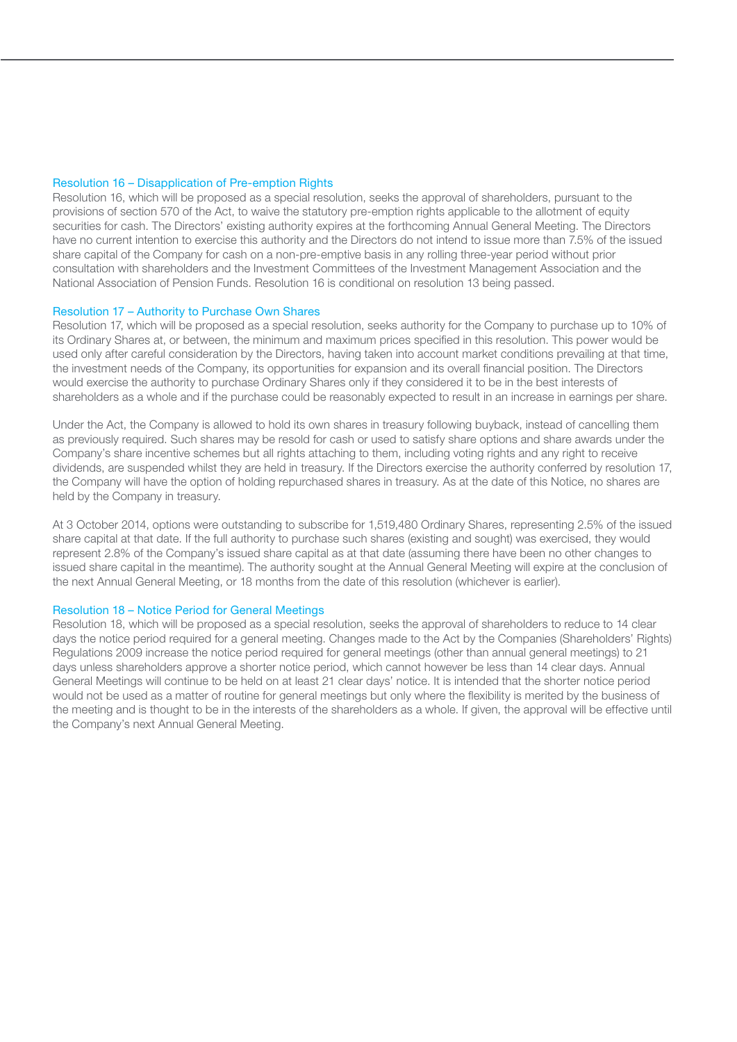#### Resolution 16 – Disapplication of Pre-emption Rights

Resolution 16, which will be proposed as a special resolution, seeks the approval of shareholders, pursuant to the provisions of section 570 of the Act, to waive the statutory pre-emption rights applicable to the allotment of equity securities for cash. The Directors' existing authority expires at the forthcoming Annual General Meeting. The Directors have no current intention to exercise this authority and the Directors do not intend to issue more than 7.5% of the issued share capital of the Company for cash on a non-pre-emptive basis in any rolling three-year period without prior consultation with shareholders and the Investment Committees of the Investment Management Association and the National Association of Pension Funds. Resolution 16 is conditional on resolution 13 being passed.

## Resolution 17 – Authority to Purchase Own Shares

Resolution 17, which will be proposed as a special resolution, seeks authority for the Company to purchase up to 10% of its Ordinary Shares at, or between, the minimum and maximum prices specified in this resolution. This power would be used only after careful consideration by the Directors, having taken into account market conditions prevailing at that time, the investment needs of the Company, its opportunities for expansion and its overall financial position. The Directors would exercise the authority to purchase Ordinary Shares only if they considered it to be in the best interests of shareholders as a whole and if the purchase could be reasonably expected to result in an increase in earnings per share.

Under the Act, the Company is allowed to hold its own shares in treasury following buyback, instead of cancelling them as previously required. Such shares may be resold for cash or used to satisfy share options and share awards under the Company's share incentive schemes but all rights attaching to them, including voting rights and any right to receive dividends, are suspended whilst they are held in treasury. If the Directors exercise the authority conferred by resolution 17, the Company will have the option of holding repurchased shares in treasury. As at the date of this Notice, no shares are held by the Company in treasury.

At 3 October 2014, options were outstanding to subscribe for 1,519,480 Ordinary Shares, representing 2.5% of the issued share capital at that date. If the full authority to purchase such shares (existing and sought) was exercised, they would represent 2.8% of the Company's issued share capital as at that date (assuming there have been no other changes to issued share capital in the meantime). The authority sought at the Annual General Meeting will expire at the conclusion of the next Annual General Meeting, or 18 months from the date of this resolution (whichever is earlier).

## Resolution 18 – Notice Period for General Meetings

Resolution 18, which will be proposed as a special resolution, seeks the approval of shareholders to reduce to 14 clear days the notice period required for a general meeting. Changes made to the Act by the Companies (Shareholders' Rights) Regulations 2009 increase the notice period required for general meetings (other than annual general meetings) to 21 days unless shareholders approve a shorter notice period, which cannot however be less than 14 clear days. Annual General Meetings will continue to be held on at least 21 clear days' notice. It is intended that the shorter notice period would not be used as a matter of routine for general meetings but only where the flexibility is merited by the business of the meeting and is thought to be in the interests of the shareholders as a whole. If given, the approval will be effective until the Company's next Annual General Meeting.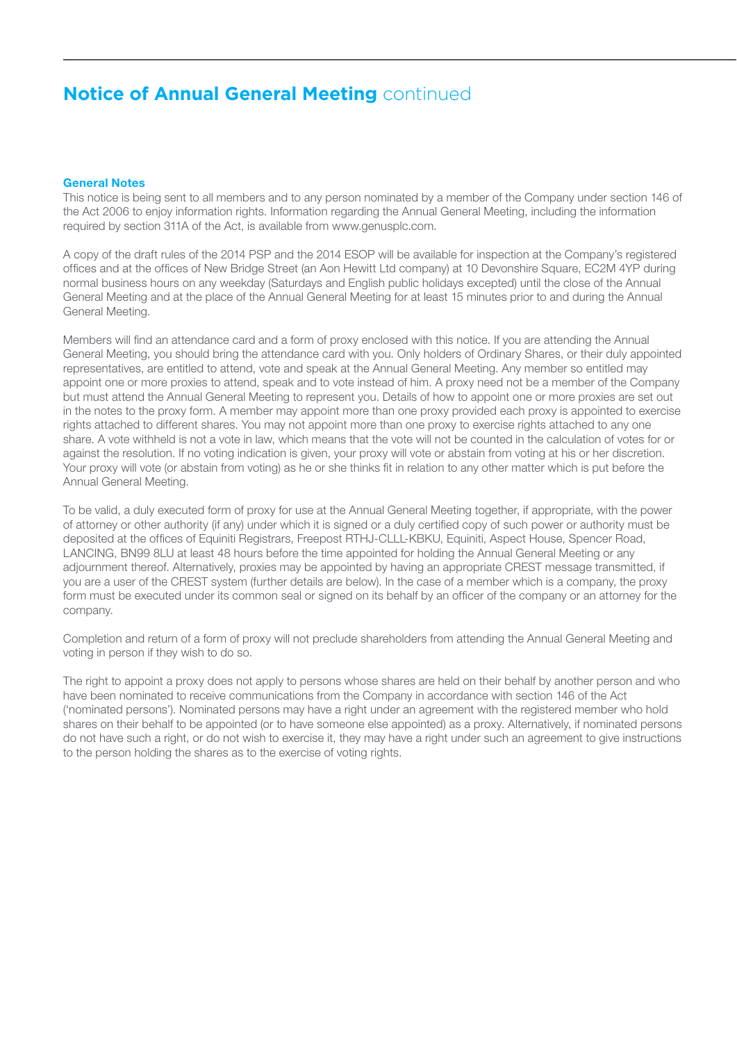### General Notes

This notice is being sent to all members and to any person nominated by a member of the Company under section 146 of the Act 2006 to enjoy information rights. Information regarding the Annual General Meeting, including the information required by section 311A of the Act, is available from www.genusplc.com.

A copy of the draft rules of the 2014 PSP and the 2014 ESOP will be available for inspection at the Company's registered offices and at the offices of New Bridge Street (an Aon Hewitt Ltd company) at 10 Devonshire Square, EC2M 4YP during normal business hours on any weekday (Saturdays and English public holidays excepted) until the close of the Annual General Meeting and at the place of the Annual General Meeting for at least 15 minutes prior to and during the Annual General Meeting.

Members will find an attendance card and a form of proxy enclosed with this notice. If you are attending the Annual General Meeting, you should bring the attendance card with you. Only holders of Ordinary Shares, or their duly appointed representatives, are entitled to attend, vote and speak at the Annual General Meeting. Any member so entitled may appoint one or more proxies to attend, speak and to vote instead of him. A proxy need not be a member of the Company but must attend the Annual General Meeting to represent you. Details of how to appoint one or more proxies are set out in the notes to the proxy form. A member may appoint more than one proxy provided each proxy is appointed to exercise rights attached to different shares. You may not appoint more than one proxy to exercise rights attached to any one share. A vote withheld is not a vote in law, which means that the vote will not be counted in the calculation of votes for or against the resolution. If no voting indication is given, your proxy will vote or abstain from voting at his or her discretion. Your proxy will vote (or abstain from voting) as he or she thinks fit in relation to any other matter which is put before the Annual General Meeting.

To be valid, a duly executed form of proxy for use at the Annual General Meeting together, if appropriate, with the power of attorney or other authority (if any) under which it is signed or a duly certified copy of such power or authority must be deposited at the offices of Equiniti Registrars, Freepost RTHJ-CLLL-KBKU, Equiniti, Aspect House, Spencer Road, LANCING, BN99 8LU at least 48 hours before the time appointed for holding the Annual General Meeting or any adjournment thereof. Alternatively, proxies may be appointed by having an appropriate CREST message transmitted, if you are a user of the CREST system (further details are below). In the case of a member which is a company, the proxy form must be executed under its common seal or signed on its behalf by an officer of the company or an attorney for the company.

Completion and return of a form of proxy will not preclude shareholders from attending the Annual General Meeting and voting in person if they wish to do so.

The right to appoint a proxy does not apply to persons whose shares are held on their behalf by another person and who have been nominated to receive communications from the Company in accordance with section 146 of the Act ('nominated persons'). Nominated persons may have a right under an agreement with the registered member who hold shares on their behalf to be appointed (or to have someone else appointed) as a proxy. Alternatively, if nominated persons do not have such a right, or do not wish to exercise it, they may have a right under such an agreement to give instructions to the person holding the shares as to the exercise of voting rights.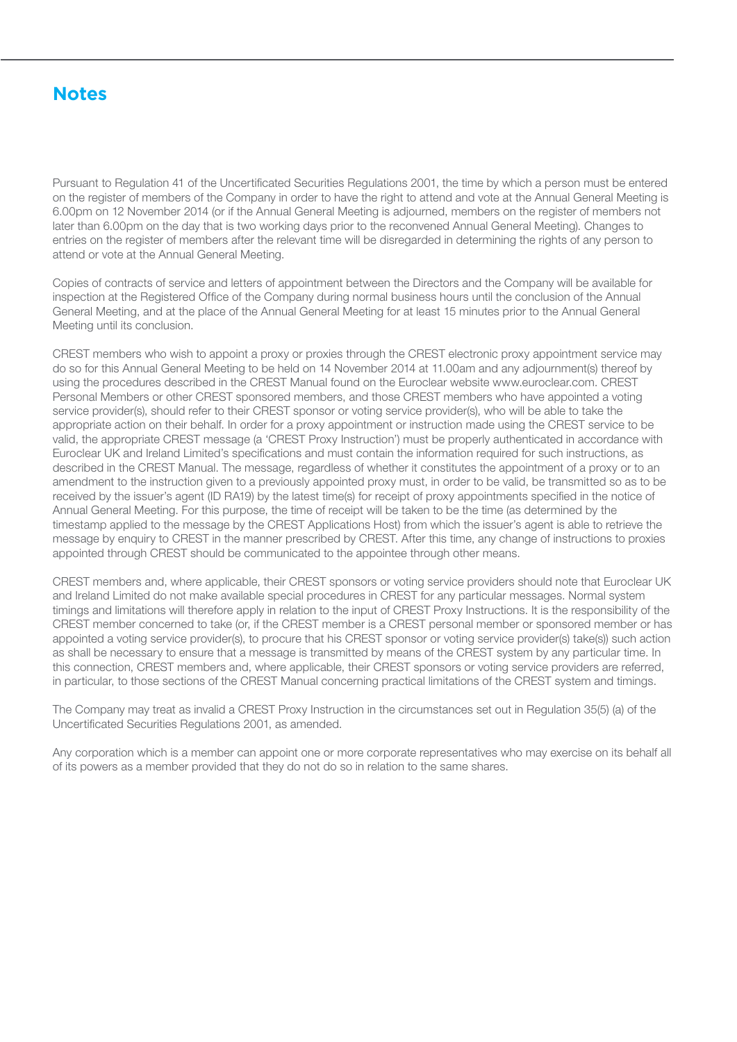## **Notes**

Pursuant to Regulation 41 of the Uncertificated Securities Regulations 2001, the time by which a person must be entered on the register of members of the Company in order to have the right to attend and vote at the Annual General Meeting is 6.00pm on 12 November 2014 (or if the Annual General Meeting is adjourned, members on the register of members not later than 6.00pm on the day that is two working days prior to the reconvened Annual General Meeting). Changes to entries on the register of members after the relevant time will be disregarded in determining the rights of any person to attend or vote at the Annual General Meeting.

Copies of contracts of service and letters of appointment between the Directors and the Company will be available for inspection at the Registered Office of the Company during normal business hours until the conclusion of the Annual General Meeting, and at the place of the Annual General Meeting for at least 15 minutes prior to the Annual General Meeting until its conclusion.

CREST members who wish to appoint a proxy or proxies through the CREST electronic proxy appointment service may do so for this Annual General Meeting to be held on 14 November 2014 at 11.00am and any adjournment(s) thereof by using the procedures described in the CREST Manual found on the Euroclear website www.euroclear.com. CREST Personal Members or other CREST sponsored members, and those CREST members who have appointed a voting service provider(s), should refer to their CREST sponsor or voting service provider(s), who will be able to take the appropriate action on their behalf. In order for a proxy appointment or instruction made using the CREST service to be valid, the appropriate CREST message (a 'CREST Proxy Instruction') must be properly authenticated in accordance with Euroclear UK and Ireland Limited's specifications and must contain the information required for such instructions, as described in the CREST Manual. The message, regardless of whether it constitutes the appointment of a proxy or to an amendment to the instruction given to a previously appointed proxy must, in order to be valid, be transmitted so as to be received by the issuer's agent (ID RA19) by the latest time(s) for receipt of proxy appointments specified in the notice of Annual General Meeting. For this purpose, the time of receipt will be taken to be the time (as determined by the timestamp applied to the message by the CREST Applications Host) from which the issuer's agent is able to retrieve the message by enquiry to CREST in the manner prescribed by CREST. After this time, any change of instructions to proxies appointed through CREST should be communicated to the appointee through other means.

CREST members and, where applicable, their CREST sponsors or voting service providers should note that Euroclear UK and Ireland Limited do not make available special procedures in CREST for any particular messages. Normal system timings and limitations will therefore apply in relation to the input of CREST Proxy Instructions. It is the responsibility of the CREST member concerned to take (or, if the CREST member is a CREST personal member or sponsored member or has appointed a voting service provider(s), to procure that his CREST sponsor or voting service provider(s) take(s)) such action as shall be necessary to ensure that a message is transmitted by means of the CREST system by any particular time. In this connection, CREST members and, where applicable, their CREST sponsors or voting service providers are referred, in particular, to those sections of the CREST Manual concerning practical limitations of the CREST system and timings.

The Company may treat as invalid a CREST Proxy Instruction in the circumstances set out in Regulation 35(5) (a) of the Uncertificated Securities Regulations 2001, as amended.

Any corporation which is a member can appoint one or more corporate representatives who may exercise on its behalf all of its powers as a member provided that they do not do so in relation to the same shares.